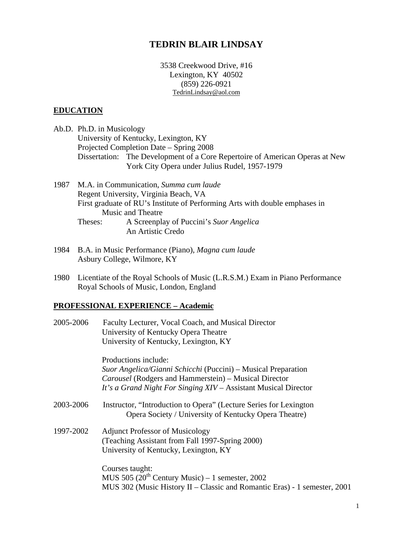# **TEDRIN BLAIR LINDSAY**

3538 Creekwood Drive, #16 Lexington, KY 40502 (859) 226-0921 [TedrinLindsay@aol.com](mailto:TedrinLindsay@aol.com)

### **EDUCATION**

Ab.D. Ph.D. in Musicology University of Kentucky, Lexington, KY Projected Completion Date – Spring 2008 Dissertation: The Development of a Core Repertoire of American Operas at New York City Opera under Julius Rudel, 1957-1979

1987 M.A. in Communication, *Summa cum laude* Regent University, Virginia Beach, VA First graduate of RU's Institute of Performing Arts with double emphases in Music and Theatre Theses: A Screenplay of Puccini's *Suor Angelica* An Artistic Credo

- 1984 B.A. in Music Performance (Piano), *Magna cum laude*  Asbury College, Wilmore, KY
- 1980 Licentiate of the Royal Schools of Music (L.R.S.M.) Exam in Piano Performance Royal Schools of Music, London, England

# **PROFESSIONAL EXPERIENCE – Academic**

| 2005-2006 | Faculty Lecturer, Vocal Coach, and Musical Director<br>University of Kentucky Opera Theatre                                |
|-----------|----------------------------------------------------------------------------------------------------------------------------|
|           | University of Kentucky, Lexington, KY                                                                                      |
|           | Productions include:                                                                                                       |
|           | Suor Angelica/Gianni Schicchi (Puccini) – Musical Preparation                                                              |
|           | <i>Carousel</i> (Rodgers and Hammerstein) – Musical Director                                                               |
|           | It's a Grand Night For Singing XIV – Assistant Musical Director                                                            |
| 2003-2006 | Instructor, "Introduction to Opera" (Lecture Series for Lexington<br>Opera Society / University of Kentucky Opera Theatre) |
| 1997-2002 | <b>Adjunct Professor of Musicology</b>                                                                                     |
|           | (Teaching Assistant from Fall 1997-Spring 2000)                                                                            |
|           | University of Kentucky, Lexington, KY                                                                                      |
|           | Courses taught:                                                                                                            |
|           | MUS $505 (20th Century Music) - 1 semester$ , 2002                                                                         |
|           | MUS 302 (Music History II – Classic and Romantic Eras) - 1 semester, 2001                                                  |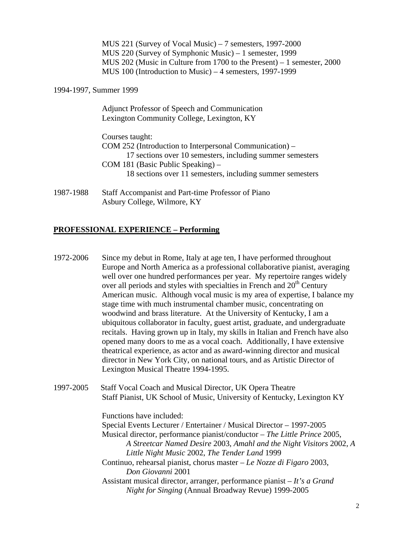MUS 221 (Survey of Vocal Music) – 7 semesters, 1997-2000 MUS 220 (Survey of Symphonic Music) – 1 semester, 1999 MUS 202 (Music in Culture from 1700 to the Present) – 1 semester, 2000 MUS 100 (Introduction to Music) – 4 semesters, 1997-1999

1994-1997, Summer 1999

 Adjunct Professor of Speech and Communication Lexington Community College, Lexington, KY

 Courses taught: COM 252 (Introduction to Interpersonal Communication) – 17 sections over 10 semesters, including summer semesters COM 181 (Basic Public Speaking) – 18 sections over 11 semesters, including summer semesters

1987-1988 Staff Accompanist and Part-time Professor of Piano Asbury College, Wilmore, KY

# **PROFESSIONAL EXPERIENCE – Performing**

- 1972-2006 Since my debut in Rome, Italy at age ten, I have performed throughout Europe and North America as a professional collaborative pianist, averaging well over one hundred performances per year. My repertoire ranges widely over all periods and styles with specialties in French and  $20<sup>th</sup>$  Century American music. Although vocal music is my area of expertise, I balance my stage time with much instrumental chamber music, concentrating on woodwind and brass literature. At the University of Kentucky, I am a ubiquitous collaborator in faculty, guest artist, graduate, and undergraduate recitals. Having grown up in Italy, my skills in Italian and French have also opened many doors to me as a vocal coach. Additionally, I have extensive theatrical experience, as actor and as award-winning director and musical director in New York City, on national tours, and as Artistic Director of Lexington Musical Theatre 1994-1995.
- 1997-2005 Staff Vocal Coach and Musical Director, UK Opera Theatre Staff Pianist, UK School of Music, University of Kentucky, Lexington KY

Functions have included: Special Events Lecturer / Entertainer / Musical Director – 1997-2005 Musical director, performance pianist/conductor – *The Little Prince* 2005, *A Streetcar Named Desire* 2003, *Amahl and the Night Visitors* 2002, *A Little Night Music* 2002, *The Tender Land* 1999 Continuo, rehearsal pianist, chorus master – *Le Nozze di Figaro* 2003, *Don Giovanni* 2001 Assistant musical director, arranger, performance pianist – *It's a Grand Night for Singing* (Annual Broadway Revue) 1999-2005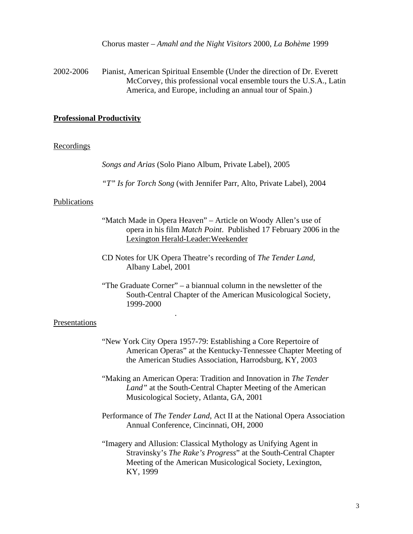Chorus master – *Amahl and the Night Visitors* 2000, *La Bohème* 1999

2002-2006 Pianist, American Spiritual Ensemble (Under the direction of Dr. Everett McCorvey, this professional vocal ensemble tours the U.S.A., Latin America, and Europe, including an annual tour of Spain.)

### **Professional Productivity**

#### **Recordings**

*Songs and Arias* (Solo Piano Album, Private Label), 2005

*"T" Is for Torch Song* (with Jennifer Parr, Alto, Private Label), 2004

#### Publications

- "Match Made in Opera Heaven" Article on Woody Allen's use of opera in his film *Match Point*. Published 17 February 2006 in the Lexington Herald-Leader:Weekender
- CD Notes for UK Opera Theatre's recording of *The Tender Land*, Albany Label, 2001

.

 "The Graduate Corner" – a biannual column in the newsletter of the South-Central Chapter of the American Musicological Society, 1999-2000

#### Presentations

- "New York City Opera 1957-79: Establishing a Core Repertoire of American Operas" at the Kentucky-Tennessee Chapter Meeting of the American Studies Association, Harrodsburg, KY, 2003
- "Making an American Opera: Tradition and Innovation in *The Tender Land"* at the South-Central Chapter Meeting of the American Musicological Society, Atlanta, GA, 2001
- Performance of *The Tender Land*, Act II at the National Opera Association Annual Conference, Cincinnati, OH, 2000
- "Imagery and Allusion: Classical Mythology as Unifying Agent in Stravinsky's *The Rake's Progress*" at the South-Central Chapter Meeting of the American Musicological Society, Lexington, KY, 1999